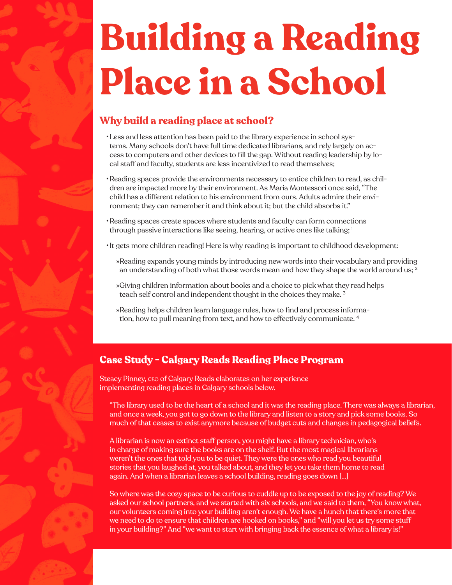## **Building a Reading Place in a School**

## **Why build a reading place at school?**

- •Less and less attention has been paid to the library experience in school systems. Many schools don't have full time dedicated librarians, and rely largely on access to computers and other devices to fll the gap. Without reading leadership by local staff and faculty, students are less incentivized to read themselves;
- •Reading spaces provide the environments necessary to entice children to read, as children are impacted more by their environment. As Maria Montessori once said, "The child has a different relation to his environment from ours. Adults admire their environment; they can remember it and think about it; but the child absorbs it."
- •Reading spaces create spaces where students and faculty can form connections through passive interactions like seeing, hearing, or active ones like talking; 1
- •It gets more children reading! Here is why reading is important to childhood development:
	- »Reading expands young minds by introducing new words into their vocabulary and providing an understanding of both what those words mean and how they shape the world around us;  $2$
	- »Giving children information about books and a choice to pick what they read helps teach self control and independent thought in the choices they make. 3
	- »Reading helps children learn language rules, how to fnd and process information, how to pull meaning from text, and how to effectively communicate. 4

## **Case Study - Calgary Reads Reading Place Program**

Steacy Pinney, ceo of Calgary Reads elaborates on her experience implementing reading places in Calgary schools below.

"The library used to be the heart of a school and it was the reading place. There was always a librarian, and once a week, you got to go down to the library and listen to a story and pick some books. So much of that ceases to exist anymore because of budget cuts and changes in pedagogical beliefs.

A librarian is now an extinct staff person, you might have a library technician, who's in charge of making sure the books are on the shelf. But the most magical librarians weren't the ones that told you to be quiet. They were the ones who read you beautiful stories that you laughed at, you talked about, and they let you take them home to read again. And when a librarian leaves a school building, reading goes down […]

So where was the cozy space to be curious to cuddle up to be exposed to the joy of reading? We asked our school partners, and we started with six schools, and we said to them, "You know what, our volunteers coming into your building aren't enough. We have a hunch that there's more that we need to do to ensure that children are hooked on books," and "will you let us try some stuff in your building?" And "we want to start with bringing back the essence of what a library is!"